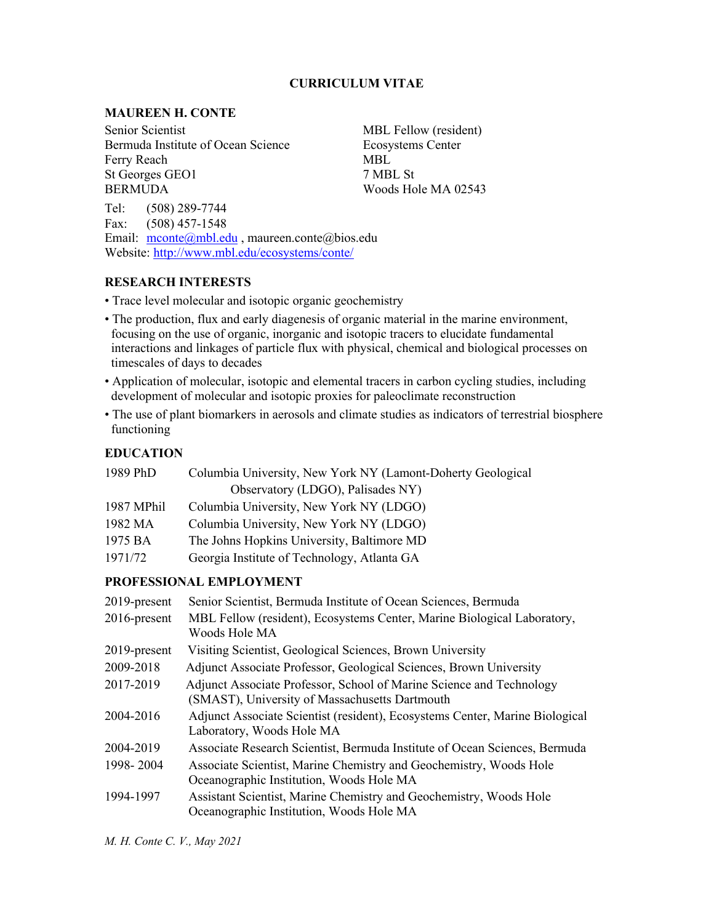# **CURRICULUM VITAE**

# **MAUREEN H. CONTE**

Senior Scientist MBL Fellow (resident) Bermuda Institute of Ocean Science Ecosystems Center Ferry Reach MBL St Georges GEO1 7 MBL St BERMUDA Woods Hole MA 02543

Tel: (508) 289-7744 Fax: (508) 457-1548 Email: mconte@mbl.edu, maureen.conte@bios.edu Website: http://www.mbl.edu/ecosystems/conte/

# **RESEARCH INTERESTS**

• Trace level molecular and isotopic organic geochemistry

- The production, flux and early diagenesis of organic material in the marine environment, focusing on the use of organic, inorganic and isotopic tracers to elucidate fundamental interactions and linkages of particle flux with physical, chemical and biological processes on timescales of days to decades
- Application of molecular, isotopic and elemental tracers in carbon cycling studies, including development of molecular and isotopic proxies for paleoclimate reconstruction
- The use of plant biomarkers in aerosols and climate studies as indicators of terrestrial biosphere functioning

# **EDUCATION**

| 1989 PhD   | Columbia University, New York NY (Lamont-Doherty Geological |
|------------|-------------------------------------------------------------|
|            | Observatory (LDGO), Palisades NY)                           |
| 1987 MPhil | Columbia University, New York NY (LDGO)                     |
| 1982 MA    | Columbia University, New York NY (LDGO)                     |
| 1975 BA    | The Johns Hopkins University, Baltimore MD                  |
| 1971/72    | Georgia Institute of Technology, Atlanta GA                 |

### **PROFESSIONAL EMPLOYMENT**

| 2019-present | Senior Scientist, Bermuda Institute of Ocean Sciences, Bermuda                                                         |
|--------------|------------------------------------------------------------------------------------------------------------------------|
| 2016-present | MBL Fellow (resident), Ecosystems Center, Marine Biological Laboratory,<br>Woods Hole MA                               |
| 2019-present | Visiting Scientist, Geological Sciences, Brown University                                                              |
| 2009-2018    | Adjunct Associate Professor, Geological Sciences, Brown University                                                     |
| 2017-2019    | Adjunct Associate Professor, School of Marine Science and Technology<br>(SMAST), University of Massachusetts Dartmouth |
| 2004-2016    | Adjunct Associate Scientist (resident), Ecosystems Center, Marine Biological<br>Laboratory, Woods Hole MA              |
| 2004-2019    | Associate Research Scientist, Bermuda Institute of Ocean Sciences, Bermuda                                             |
| 1998-2004    | Associate Scientist, Marine Chemistry and Geochemistry, Woods Hole<br>Oceanographic Institution, Woods Hole MA         |
| 1994-1997    | Assistant Scientist, Marine Chemistry and Geochemistry, Woods Hole<br>Oceanographic Institution, Woods Hole MA         |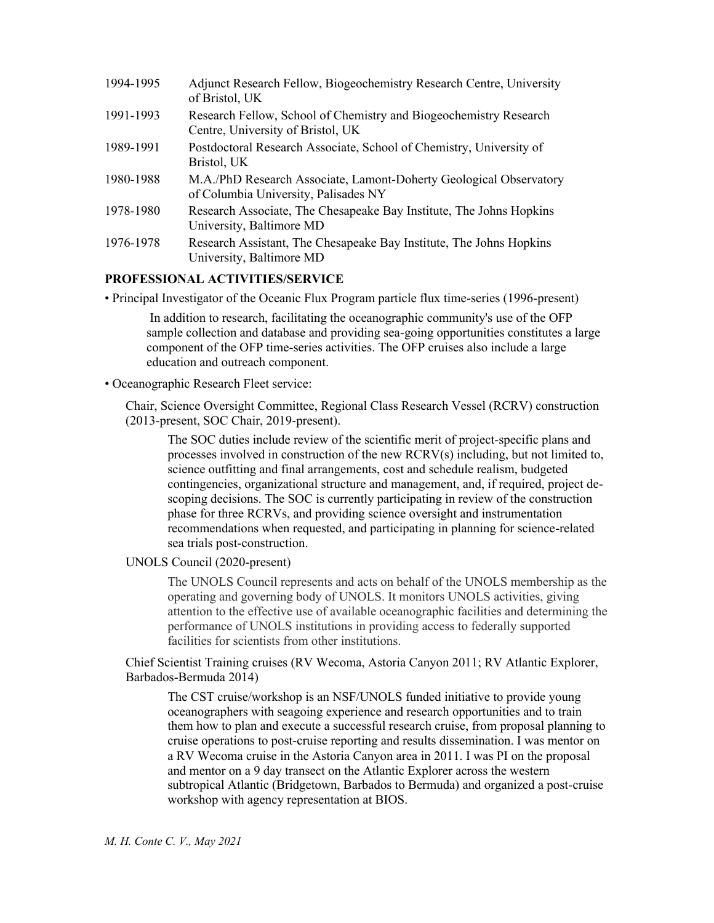| 1994-1995 | Adjunct Research Fellow, Biogeochemistry Research Centre, University<br>of Bristol, UK                     |
|-----------|------------------------------------------------------------------------------------------------------------|
| 1991-1993 | Research Fellow, School of Chemistry and Biogeochemistry Research<br>Centre, University of Bristol, UK     |
| 1989-1991 | Postdoctoral Research Associate, School of Chemistry, University of<br>Bristol, UK                         |
| 1980-1988 | M.A./PhD Research Associate, Lamont-Doherty Geological Observatory<br>of Columbia University, Palisades NY |
| 1978-1980 | Research Associate, The Chesapeake Bay Institute, The Johns Hopkins<br>University, Baltimore MD            |
| 1976-1978 | Research Assistant, The Chesapeake Bay Institute, The Johns Hopkins<br>University, Baltimore MD            |

# **PROFESSIONAL ACTIVITIES/SERVICE**

• Principal Investigator of the Oceanic Flux Program particle flux time-series (1996-present)

In addition to research, facilitating the oceanographic community's use of the OFP sample collection and database and providing sea-going opportunities constitutes a large component of the OFP time-series activities. The OFP cruises also include a large education and outreach component.

### • Oceanographic Research Fleet service:

Chair, Science Oversight Committee, Regional Class Research Vessel (RCRV) construction (2013-present, SOC Chair, 2019-present).

The SOC duties include review of the scientific merit of project-specific plans and processes involved in construction of the new RCRV(s) including, but not limited to, science outfitting and final arrangements, cost and schedule realism, budgeted contingencies, organizational structure and management, and, if required, project descoping decisions. The SOC is currently participating in review of the construction phase for three RCRVs, and providing science oversight and instrumentation recommendations when requested, and participating in planning for science-related sea trials post-construction.

UNOLS Council (2020-present)

The UNOLS Council represents and acts on behalf of the UNOLS membership as the operating and governing body of UNOLS. It monitors UNOLS activities, giving attention to the effective use of available oceanographic facilities and determining the performance of UNOLS institutions in providing access to federally supported facilities for scientists from other institutions.

Chief Scientist Training cruises (RV Wecoma, Astoria Canyon 2011; RV Atlantic Explorer, Barbados-Bermuda 2014)

The CST cruise/workshop is an NSF/UNOLS funded initiative to provide young oceanographers with seagoing experience and research opportunities and to train them how to plan and execute a successful research cruise, from proposal planning to cruise operations to post-cruise reporting and results dissemination. I was mentor on a RV Wecoma cruise in the Astoria Canyon area in 2011. I was PI on the proposal and mentor on a 9 day transect on the Atlantic Explorer across the western subtropical Atlantic (Bridgetown, Barbados to Bermuda) and organized a post-cruise workshop with agency representation at BIOS.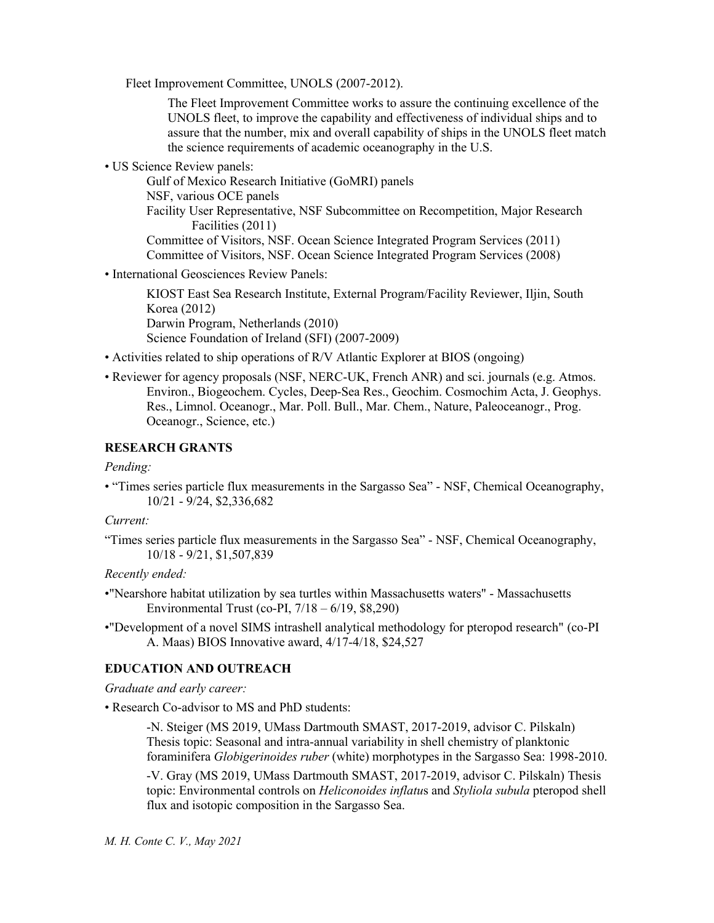Fleet Improvement Committee, UNOLS (2007-2012).

The Fleet Improvement Committee works to assure the continuing excellence of the UNOLS fleet, to improve the capability and effectiveness of individual ships and to assure that the number, mix and overall capability of ships in the UNOLS fleet match the science requirements of academic oceanography in the U.S.

• US Science Review panels:

Gulf of Mexico Research Initiative (GoMRI) panels NSF, various OCE panels Facility User Representative, NSF Subcommittee on Recompetition, Major Research Facilities (2011) Committee of Visitors, NSF. Ocean Science Integrated Program Services (2011) Committee of Visitors, NSF. Ocean Science Integrated Program Services (2008)

• International Geosciences Review Panels:

KIOST East Sea Research Institute, External Program/Facility Reviewer, Iljin, South Korea (2012) Darwin Program, Netherlands (2010) Science Foundation of Ireland (SFI) (2007-2009)

- Activities related to ship operations of R/V Atlantic Explorer at BIOS (ongoing)
- Reviewer for agency proposals (NSF, NERC-UK, French ANR) and sci. journals (e.g. Atmos. Environ., Biogeochem. Cycles, Deep-Sea Res., Geochim. Cosmochim Acta, J. Geophys. Res., Limnol. Oceanogr., Mar. Poll. Bull., Mar. Chem., Nature, Paleoceanogr., Prog. Oceanogr., Science, etc.)

#### **RESEARCH GRANTS**

### *Pending:*

• "Times series particle flux measurements in the Sargasso Sea" - NSF, Chemical Oceanography, 10/21 - 9/24, \$2,336,682

### *Current:*

"Times series particle flux measurements in the Sargasso Sea" - NSF, Chemical Oceanography, 10/18 - 9/21, \$1,507,839

# *Recently ended:*

- •"Nearshore habitat utilization by sea turtles within Massachusetts waters" Massachusetts Environmental Trust (co-PI, 7/18 – 6/19, \$8,290)
- •"Development of a novel SIMS intrashell analytical methodology for pteropod research" (co-PI A. Maas) BIOS Innovative award, 4/17-4/18, \$24,527

## **EDUCATION AND OUTREACH**

*Graduate and early career:*

• Research Co-advisor to MS and PhD students:

-N. Steiger (MS 2019, UMass Dartmouth SMAST, 2017-2019, advisor C. Pilskaln) Thesis topic: Seasonal and intra-annual variability in shell chemistry of planktonic foraminifera *Globigerinoides ruber* (white) morphotypes in the Sargasso Sea: 1998-2010.

-V. Gray (MS 2019, UMass Dartmouth SMAST, 2017-2019, advisor C. Pilskaln) Thesis topic: Environmental controls on *Heliconoides inflatu*s and *Styliola subula* pteropod shell flux and isotopic composition in the Sargasso Sea.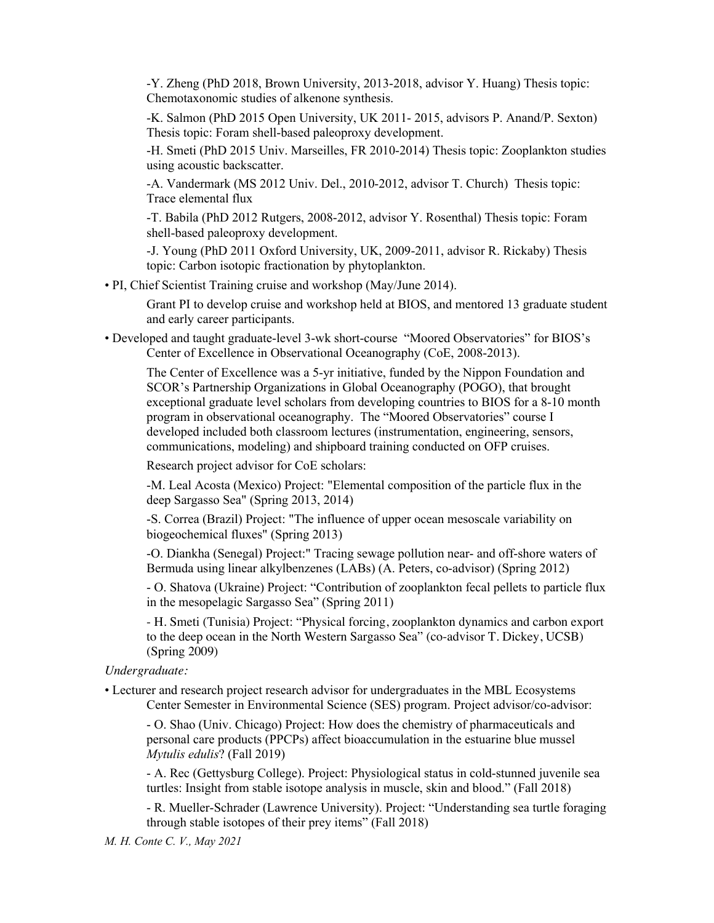-Y. Zheng (PhD 2018, Brown University, 2013-2018, advisor Y. Huang) Thesis topic: Chemotaxonomic studies of alkenone synthesis.

-K. Salmon (PhD 2015 Open University, UK 2011- 2015, advisors P. Anand/P. Sexton) Thesis topic: Foram shell-based paleoproxy development.

-H. Smeti (PhD 2015 Univ. Marseilles, FR 2010-2014) Thesis topic: Zooplankton studies using acoustic backscatter.

-A. Vandermark (MS 2012 Univ. Del., 2010-2012, advisor T. Church) Thesis topic: Trace elemental flux

-T. Babila (PhD 2012 Rutgers, 2008-2012, advisor Y. Rosenthal) Thesis topic: Foram shell-based paleoproxy development.

-J. Young (PhD 2011 Oxford University, UK, 2009-2011, advisor R. Rickaby) Thesis topic: Carbon isotopic fractionation by phytoplankton.

• PI, Chief Scientist Training cruise and workshop (May/June 2014).

Grant PI to develop cruise and workshop held at BIOS, and mentored 13 graduate student and early career participants.

• Developed and taught graduate-level 3-wk short-course "Moored Observatories" for BIOS's Center of Excellence in Observational Oceanography (CoE, 2008-2013).

The Center of Excellence was a 5-yr initiative, funded by the Nippon Foundation and SCOR's Partnership Organizations in Global Oceanography (POGO), that brought exceptional graduate level scholars from developing countries to BIOS for a 8-10 month program in observational oceanography. The "Moored Observatories" course I developed included both classroom lectures (instrumentation, engineering, sensors, communications, modeling) and shipboard training conducted on OFP cruises.

Research project advisor for CoE scholars:

-M. Leal Acosta (Mexico) Project: "Elemental composition of the particle flux in the deep Sargasso Sea" (Spring 2013, 2014)

-S. Correa (Brazil) Project: "The influence of upper ocean mesoscale variability on biogeochemical fluxes" (Spring 2013)

-O. Diankha (Senegal) Project:" Tracing sewage pollution near- and off-shore waters of Bermuda using linear alkylbenzenes (LABs) (A. Peters, co-advisor) (Spring 2012)

- O. Shatova (Ukraine) Project: "Contribution of zooplankton fecal pellets to particle flux in the mesopelagic Sargasso Sea" (Spring 2011)

- H. Smeti (Tunisia) Project: "Physical forcing, zooplankton dynamics and carbon export to the deep ocean in the North Western Sargasso Sea" (co-advisor T. Dickey, UCSB) (Spring 2009)

#### *Undergraduate:*

• Lecturer and research project research advisor for undergraduates in the MBL Ecosystems Center Semester in Environmental Science (SES) program. Project advisor/co-advisor:

- O. Shao (Univ. Chicago) Project: How does the chemistry of pharmaceuticals and personal care products (PPCPs) affect bioaccumulation in the estuarine blue mussel *Mytulis edulis*? (Fall 2019)

- A. Rec (Gettysburg College). Project: Physiological status in cold-stunned juvenile sea turtles: Insight from stable isotope analysis in muscle, skin and blood." (Fall 2018)

- R. Mueller-Schrader (Lawrence University). Project: "Understanding sea turtle foraging through stable isotopes of their prey items" (Fall 2018)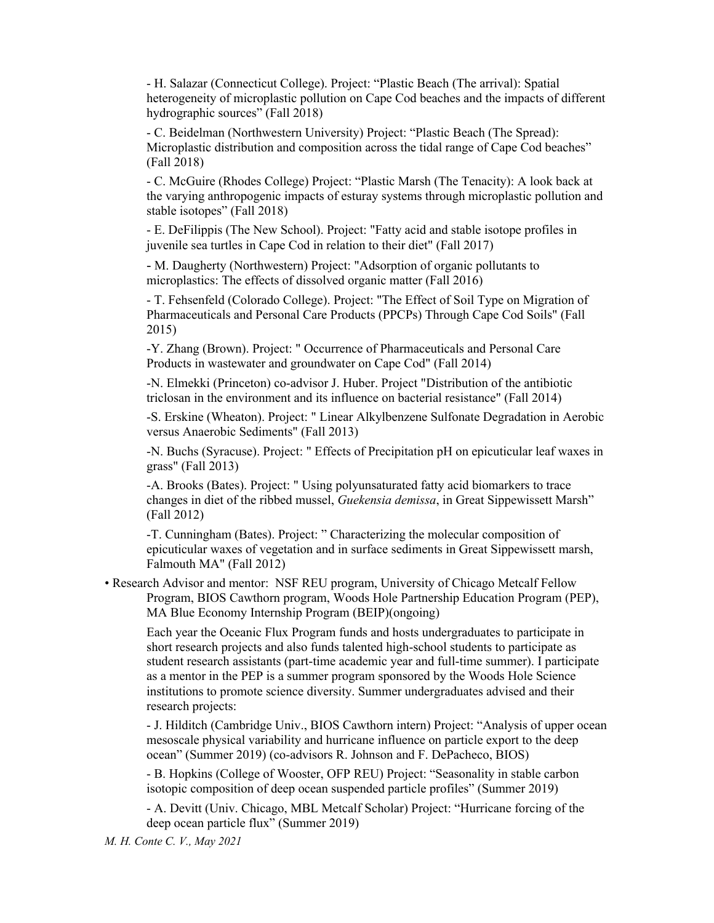- H. Salazar (Connecticut College). Project: "Plastic Beach (The arrival): Spatial heterogeneity of microplastic pollution on Cape Cod beaches and the impacts of different hydrographic sources" (Fall 2018)

- C. Beidelman (Northwestern University) Project: "Plastic Beach (The Spread): Microplastic distribution and composition across the tidal range of Cape Cod beaches" (Fall 2018)

- C. McGuire (Rhodes College) Project: "Plastic Marsh (The Tenacity): A look back at the varying anthropogenic impacts of esturay systems through microplastic pollution and stable isotopes" (Fall 2018)

- E. DeFilippis (The New School). Project: "Fatty acid and stable isotope profiles in juvenile sea turtles in Cape Cod in relation to their diet" (Fall 2017)

- M. Daugherty (Northwestern) Project: "Adsorption of organic pollutants to microplastics: The effects of dissolved organic matter (Fall 2016)

- T. Fehsenfeld (Colorado College). Project: "The Effect of Soil Type on Migration of Pharmaceuticals and Personal Care Products (PPCPs) Through Cape Cod Soils" (Fall 2015)

-Y. Zhang (Brown). Project: " Occurrence of Pharmaceuticals and Personal Care Products in wastewater and groundwater on Cape Cod" (Fall 2014)

-N. Elmekki (Princeton) co-advisor J. Huber. Project "Distribution of the antibiotic triclosan in the environment and its influence on bacterial resistance" (Fall 2014)

-S. Erskine (Wheaton). Project: " Linear Alkylbenzene Sulfonate Degradation in Aerobic versus Anaerobic Sediments" (Fall 2013)

-N. Buchs (Syracuse). Project: " Effects of Precipitation pH on epicuticular leaf waxes in grass" (Fall 2013)

-A. Brooks (Bates). Project: " Using polyunsaturated fatty acid biomarkers to trace changes in diet of the ribbed mussel, *Guekensia demissa*, in Great Sippewissett Marsh" (Fall 2012)

-T. Cunningham (Bates). Project: " Characterizing the molecular composition of epicuticular waxes of vegetation and in surface sediments in Great Sippewissett marsh, Falmouth MA" (Fall 2012)

• Research Advisor and mentor: NSF REU program, University of Chicago Metcalf Fellow Program, BIOS Cawthorn program, Woods Hole Partnership Education Program (PEP), MA Blue Economy Internship Program (BEIP)(ongoing)

Each year the Oceanic Flux Program funds and hosts undergraduates to participate in short research projects and also funds talented high-school students to participate as student research assistants (part-time academic year and full-time summer). I participate as a mentor in the PEP is a summer program sponsored by the Woods Hole Science institutions to promote science diversity. Summer undergraduates advised and their research projects:

- J. Hilditch (Cambridge Univ., BIOS Cawthorn intern) Project: "Analysis of upper ocean mesoscale physical variability and hurricane influence on particle export to the deep ocean" (Summer 2019) (co-advisors R. Johnson and F. DePacheco, BIOS)

- B. Hopkins (College of Wooster, OFP REU) Project: "Seasonality in stable carbon isotopic composition of deep ocean suspended particle profiles" (Summer 2019)

- A. Devitt (Univ. Chicago, MBL Metcalf Scholar) Project: "Hurricane forcing of the deep ocean particle flux" (Summer 2019)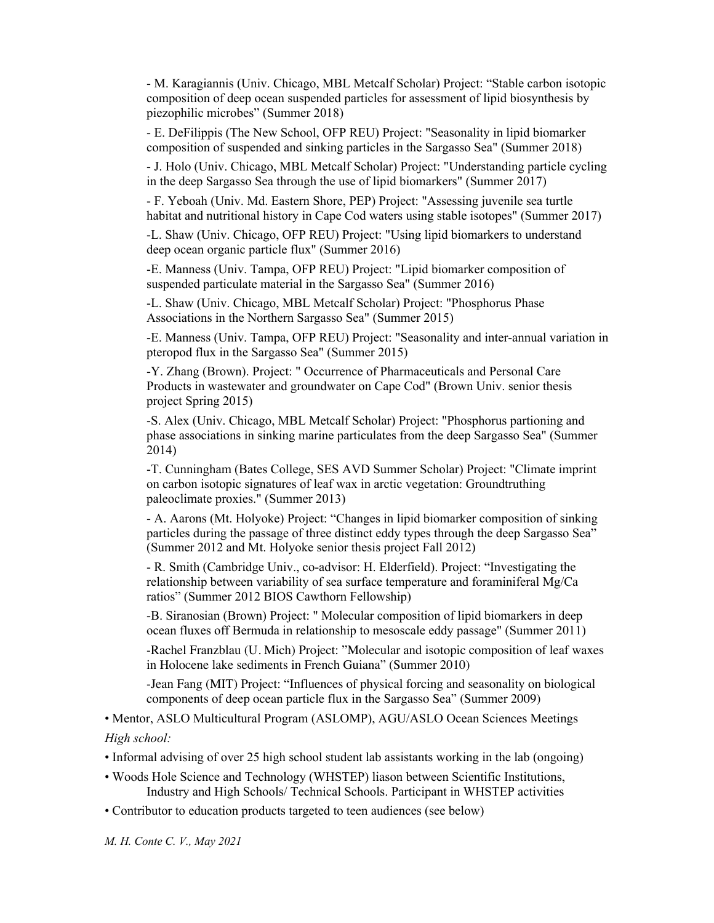- M. Karagiannis (Univ. Chicago, MBL Metcalf Scholar) Project: "Stable carbon isotopic composition of deep ocean suspended particles for assessment of lipid biosynthesis by piezophilic microbes" (Summer 2018)

- E. DeFilippis (The New School, OFP REU) Project: "Seasonality in lipid biomarker composition of suspended and sinking particles in the Sargasso Sea" (Summer 2018)

- J. Holo (Univ. Chicago, MBL Metcalf Scholar) Project: "Understanding particle cycling in the deep Sargasso Sea through the use of lipid biomarkers" (Summer 2017)

- F. Yeboah (Univ. Md. Eastern Shore, PEP) Project: "Assessing juvenile sea turtle habitat and nutritional history in Cape Cod waters using stable isotopes" (Summer 2017)

-L. Shaw (Univ. Chicago, OFP REU) Project: "Using lipid biomarkers to understand deep ocean organic particle flux" (Summer 2016)

-E. Manness (Univ. Tampa, OFP REU) Project: "Lipid biomarker composition of suspended particulate material in the Sargasso Sea" (Summer 2016)

-L. Shaw (Univ. Chicago, MBL Metcalf Scholar) Project: "Phosphorus Phase Associations in the Northern Sargasso Sea" (Summer 2015)

-E. Manness (Univ. Tampa, OFP REU) Project: "Seasonality and inter-annual variation in pteropod flux in the Sargasso Sea" (Summer 2015)

-Y. Zhang (Brown). Project: " Occurrence of Pharmaceuticals and Personal Care Products in wastewater and groundwater on Cape Cod" (Brown Univ. senior thesis project Spring 2015)

-S. Alex (Univ. Chicago, MBL Metcalf Scholar) Project: "Phosphorus partioning and phase associations in sinking marine particulates from the deep Sargasso Sea" (Summer 2014)

-T. Cunningham (Bates College, SES AVD Summer Scholar) Project: "Climate imprint on carbon isotopic signatures of leaf wax in arctic vegetation: Groundtruthing paleoclimate proxies." (Summer 2013)

- A. Aarons (Mt. Holyoke) Project: "Changes in lipid biomarker composition of sinking particles during the passage of three distinct eddy types through the deep Sargasso Sea" (Summer 2012 and Mt. Holyoke senior thesis project Fall 2012)

- R. Smith (Cambridge Univ., co-advisor: H. Elderfield). Project: "Investigating the relationship between variability of sea surface temperature and foraminiferal Mg/Ca ratios" (Summer 2012 BIOS Cawthorn Fellowship)

-B. Siranosian (Brown) Project: " Molecular composition of lipid biomarkers in deep ocean fluxes off Bermuda in relationship to mesoscale eddy passage" (Summer 2011)

-Rachel Franzblau (U. Mich) Project: "Molecular and isotopic composition of leaf waxes in Holocene lake sediments in French Guiana" (Summer 2010)

-Jean Fang (MIT) Project: "Influences of physical forcing and seasonality on biological components of deep ocean particle flux in the Sargasso Sea" (Summer 2009)

• Mentor, ASLO Multicultural Program (ASLOMP), AGU/ASLO Ocean Sciences Meetings *High school:*

• Informal advising of over 25 high school student lab assistants working in the lab (ongoing)

- Woods Hole Science and Technology (WHSTEP) liason between Scientific Institutions, Industry and High Schools/ Technical Schools. Participant in WHSTEP activities
- Contributor to education products targeted to teen audiences (see below)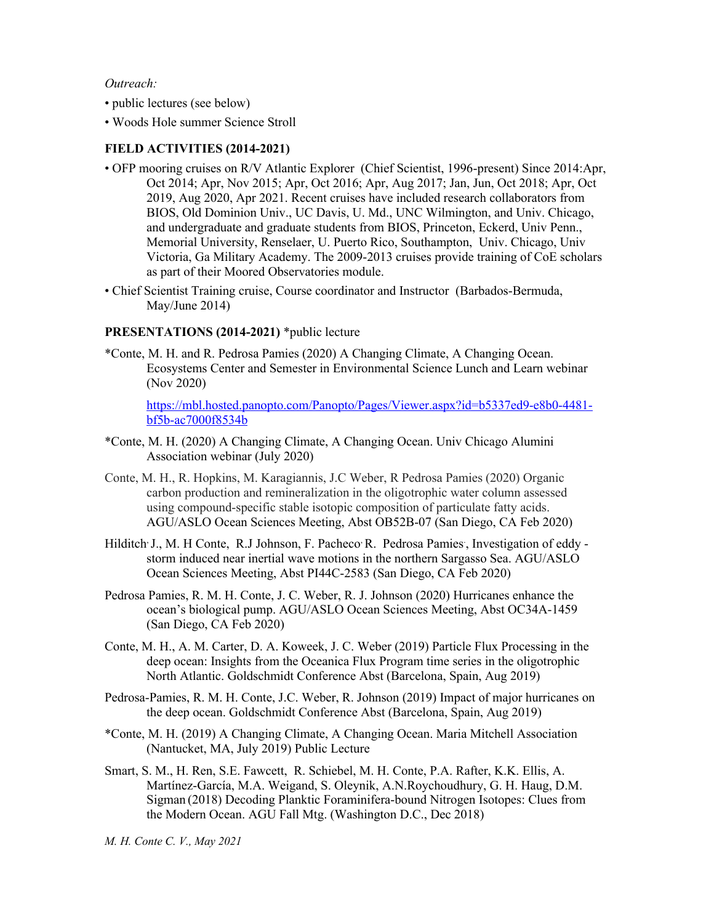#### *Outreach:*

- public lectures (see below)
- Woods Hole summer Science Stroll

### **FIELD ACTIVITIES (2014-2021)**

- OFP mooring cruises on R/V Atlantic Explorer (Chief Scientist, 1996-present) Since 2014:Apr, Oct 2014; Apr, Nov 2015; Apr, Oct 2016; Apr, Aug 2017; Jan, Jun, Oct 2018; Apr, Oct 2019, Aug 2020, Apr 2021. Recent cruises have included research collaborators from BIOS, Old Dominion Univ., UC Davis, U. Md., UNC Wilmington, and Univ. Chicago, and undergraduate and graduate students from BIOS, Princeton, Eckerd, Univ Penn., Memorial University, Renselaer, U. Puerto Rico, Southampton, Univ. Chicago, Univ Victoria, Ga Military Academy. The 2009-2013 cruises provide training of CoE scholars as part of their Moored Observatories module.
- Chief Scientist Training cruise, Course coordinator and Instructor (Barbados-Bermuda, May/June 2014)

#### **PRESENTATIONS (2014-2021)** \*public lecture

\*Conte, M. H. and R. Pedrosa Pamies (2020) A Changing Climate, A Changing Ocean. Ecosystems Center and Semester in Environmental Science Lunch and Learn webinar (Nov 2020)

https://mbl.hosted.panopto.com/Panopto/Pages/Viewer.aspx?id=b5337ed9-e8b0-4481 bf5b-ac7000f8534b

- \*Conte, M. H. (2020) A Changing Climate, A Changing Ocean. Univ Chicago Alumini Association webinar (July 2020)
- Conte, M. H., R. Hopkins, M. Karagiannis, J.C Weber, R Pedrosa Pamies (2020) Organic carbon production and remineralization in the oligotrophic water column assessed using compound-specific stable isotopic composition of particulate fatty acids. AGU/ASLO Ocean Sciences Meeting, Abst OB52B-07 (San Diego, CA Feb 2020)
- Hilditch<sup>, J</sup>., M. H Conte, R.J Johnson, F. Pacheco<sup>,</sup> R. Pedrosa Pamies, Investigation of eddy storm induced near inertial wave motions in the northern Sargasso Sea. AGU/ASLO Ocean Sciences Meeting, Abst PI44C-2583 (San Diego, CA Feb 2020)
- Pedrosa Pamies, R. M. H. Conte, J. C. Weber, R. J. Johnson (2020) Hurricanes enhance the ocean's biological pump. AGU/ASLO Ocean Sciences Meeting, Abst OC34A-1459 (San Diego, CA Feb 2020)
- Conte, M. H., A. M. Carter, D. A. Koweek, J. C. Weber (2019) Particle Flux Processing in the deep ocean: Insights from the Oceanica Flux Program time series in the oligotrophic North Atlantic. Goldschmidt Conference Abst (Barcelona, Spain, Aug 2019)
- Pedrosa-Pamies, R. M. H. Conte, J.C. Weber, R. Johnson (2019) Impact of major hurricanes on the deep ocean. Goldschmidt Conference Abst (Barcelona, Spain, Aug 2019)
- \*Conte, M. H. (2019) A Changing Climate, A Changing Ocean. Maria Mitchell Association (Nantucket, MA, July 2019) Public Lecture
- Smart, S. M., H. Ren, S.E. Fawcett, R. Schiebel, M. H. Conte, P.A. Rafter, K.K. Ellis, A. Martínez-García, M.A. Weigand, S. Oleynik, A.N.Roychoudhury, G. H. Haug, D.M. Sigman (2018) Decoding Planktic Foraminifera-bound Nitrogen Isotopes: Clues from the Modern Ocean. AGU Fall Mtg. (Washington D.C., Dec 2018)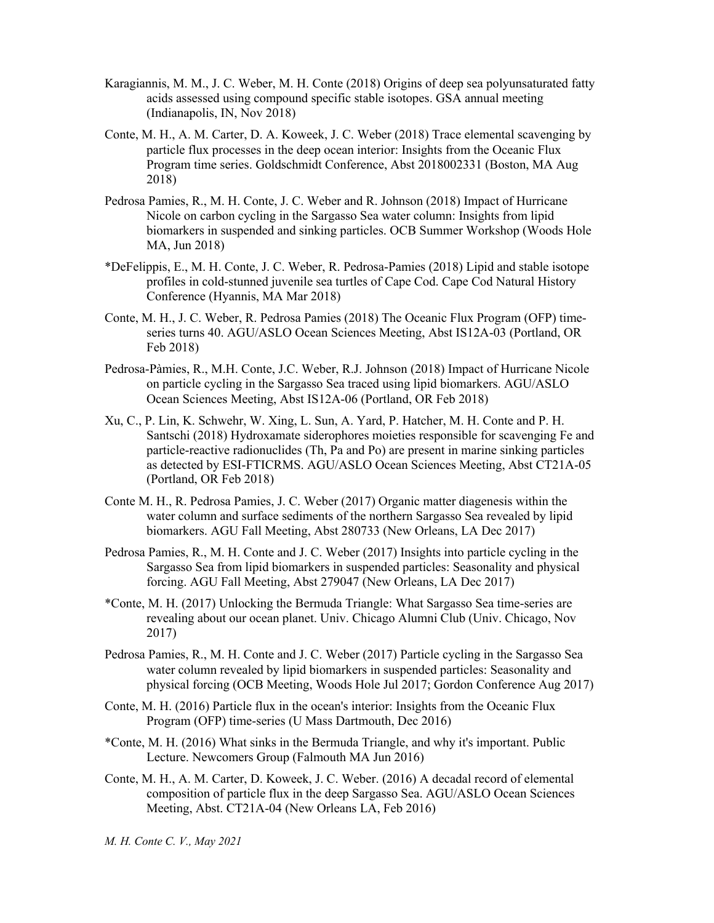- Karagiannis, M. M., J. C. Weber, M. H. Conte (2018) Origins of deep sea polyunsaturated fatty acids assessed using compound specific stable isotopes. GSA annual meeting (Indianapolis, IN, Nov 2018)
- Conte, M. H., A. M. Carter, D. A. Koweek, J. C. Weber (2018) Trace elemental scavenging by particle flux processes in the deep ocean interior: Insights from the Oceanic Flux Program time series. Goldschmidt Conference, Abst 2018002331 (Boston, MA Aug 2018)
- Pedrosa Pamies, R., M. H. Conte, J. C. Weber and R. Johnson (2018) Impact of Hurricane Nicole on carbon cycling in the Sargasso Sea water column: Insights from lipid biomarkers in suspended and sinking particles. OCB Summer Workshop (Woods Hole MA, Jun 2018)
- \*DeFelippis, E., M. H. Conte, J. C. Weber, R. Pedrosa-Pamies (2018) Lipid and stable isotope profiles in cold-stunned juvenile sea turtles of Cape Cod. Cape Cod Natural History Conference (Hyannis, MA Mar 2018)
- Conte, M. H., J. C. Weber, R. Pedrosa Pamies (2018) The Oceanic Flux Program (OFP) timeseries turns 40. AGU/ASLO Ocean Sciences Meeting, Abst IS12A-03 (Portland, OR Feb 2018)
- Pedrosa-Pàmies, R., M.H. Conte, J.C. Weber, R.J. Johnson (2018) Impact of Hurricane Nicole on particle cycling in the Sargasso Sea traced using lipid biomarkers. AGU/ASLO Ocean Sciences Meeting, Abst IS12A-06 (Portland, OR Feb 2018)
- Xu, C., P. Lin, K. Schwehr, W. Xing, L. Sun, A. Yard, P. Hatcher, M. H. Conte and P. H. Santschi (2018) Hydroxamate siderophores moieties responsible for scavenging Fe and particle-reactive radionuclides (Th, Pa and Po) are present in marine sinking particles as detected by ESI-FTICRMS. AGU/ASLO Ocean Sciences Meeting, Abst CT21A-05 (Portland, OR Feb 2018)
- Conte M. H., R. Pedrosa Pamies, J. C. Weber (2017) Organic matter diagenesis within the water column and surface sediments of the northern Sargasso Sea revealed by lipid biomarkers. AGU Fall Meeting, Abst 280733 (New Orleans, LA Dec 2017)
- Pedrosa Pamies, R., M. H. Conte and J. C. Weber (2017) Insights into particle cycling in the Sargasso Sea from lipid biomarkers in suspended particles: Seasonality and physical forcing. AGU Fall Meeting, Abst 279047 (New Orleans, LA Dec 2017)
- \*Conte, M. H. (2017) Unlocking the Bermuda Triangle: What Sargasso Sea time-series are revealing about our ocean planet. Univ. Chicago Alumni Club (Univ. Chicago, Nov 2017)
- Pedrosa Pamies, R., M. H. Conte and J. C. Weber (2017) Particle cycling in the Sargasso Sea water column revealed by lipid biomarkers in suspended particles: Seasonality and physical forcing (OCB Meeting, Woods Hole Jul 2017; Gordon Conference Aug 2017)
- Conte, M. H. (2016) Particle flux in the ocean's interior: Insights from the Oceanic Flux Program (OFP) time-series (U Mass Dartmouth, Dec 2016)
- \*Conte, M. H. (2016) What sinks in the Bermuda Triangle, and why it's important. Public Lecture. Newcomers Group (Falmouth MA Jun 2016)
- Conte, M. H., A. M. Carter, D. Koweek, J. C. Weber. (2016) A decadal record of elemental composition of particle flux in the deep Sargasso Sea. AGU/ASLO Ocean Sciences Meeting, Abst. CT21A-04 (New Orleans LA, Feb 2016)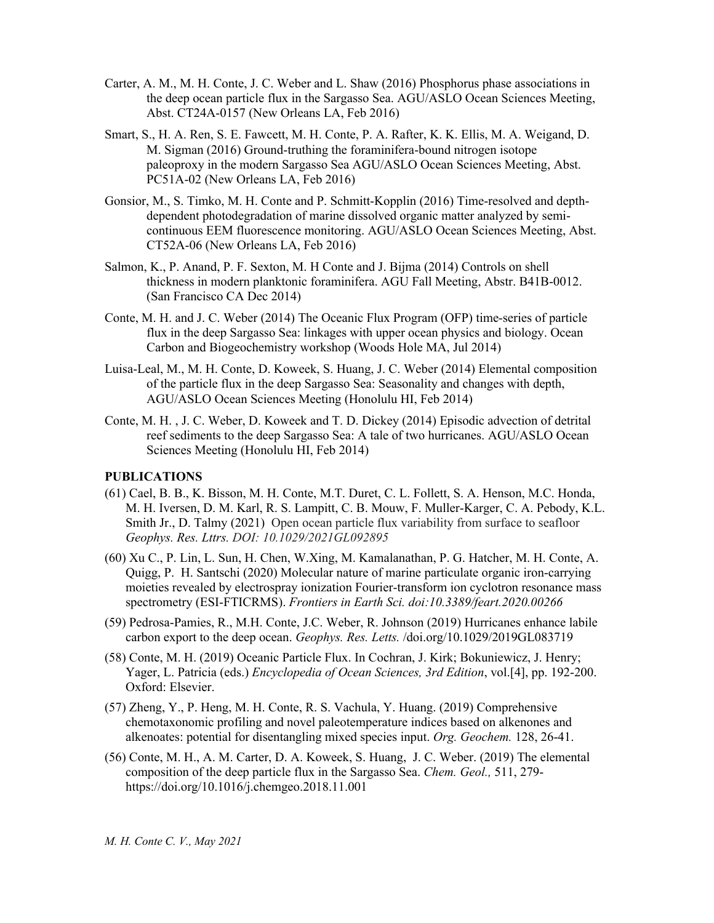- Carter, A. M., M. H. Conte, J. C. Weber and L. Shaw (2016) Phosphorus phase associations in the deep ocean particle flux in the Sargasso Sea. AGU/ASLO Ocean Sciences Meeting, Abst. CT24A-0157 (New Orleans LA, Feb 2016)
- Smart, S., H. A. Ren, S. E. Fawcett, M. H. Conte, P. A. Rafter, K. K. Ellis, M. A. Weigand, D. M. Sigman (2016) Ground-truthing the foraminifera-bound nitrogen isotope paleoproxy in the modern Sargasso Sea AGU/ASLO Ocean Sciences Meeting, Abst. PC51A-02 (New Orleans LA, Feb 2016)
- Gonsior, M., S. Timko, M. H. Conte and P. Schmitt-Kopplin (2016) Time-resolved and depthdependent photodegradation of marine dissolved organic matter analyzed by semicontinuous EEM fluorescence monitoring. AGU/ASLO Ocean Sciences Meeting, Abst. CT52A-06 (New Orleans LA, Feb 2016)
- Salmon, K., P. Anand, P. F. Sexton, M. H Conte and J. Bijma (2014) Controls on shell thickness in modern planktonic foraminifera. AGU Fall Meeting, Abstr. B41B-0012. (San Francisco CA Dec 2014)
- Conte, M. H. and J. C. Weber (2014) The Oceanic Flux Program (OFP) time-series of particle flux in the deep Sargasso Sea: linkages with upper ocean physics and biology. Ocean Carbon and Biogeochemistry workshop (Woods Hole MA, Jul 2014)
- Luisa-Leal, M., M. H. Conte, D. Koweek, S. Huang, J. C. Weber (2014) Elemental composition of the particle flux in the deep Sargasso Sea: Seasonality and changes with depth, AGU/ASLO Ocean Sciences Meeting (Honolulu HI, Feb 2014)
- Conte, M. H. , J. C. Weber, D. Koweek and T. D. Dickey (2014) Episodic advection of detrital reef sediments to the deep Sargasso Sea: A tale of two hurricanes. AGU/ASLO Ocean Sciences Meeting (Honolulu HI, Feb 2014)

### **PUBLICATIONS**

- (61) Cael, B. B., K. Bisson, M. H. Conte, M.T. Duret, C. L. Follett, S. A. Henson, M.C. Honda, M. H. Iversen, D. M. Karl, R. S. Lampitt, C. B. Mouw, F. Muller-Karger, C. A. Pebody, K.L. Smith Jr., D. Talmy (2021) Open ocean particle flux variability from surface to seafloor *Geophys. Res. Lttrs. DOI: 10.1029/2021GL092895*
- (60) Xu C., P. Lin, L. Sun, H. Chen, W.Xing, M. Kamalanathan, P. G. Hatcher, M. H. Conte, A. Quigg, P. H. Santschi (2020) Molecular nature of marine particulate organic iron-carrying moieties revealed by electrospray ionization Fourier-transform ion cyclotron resonance mass spectrometry (ESI-FTICRMS). *Frontiers in Earth Sci. doi:10.3389/feart.2020.00266*
- (59) Pedrosa-Pamies, R., M.H. Conte, J.C. Weber, R. Johnson (2019) Hurricanes enhance labile carbon export to the deep ocean. *Geophys. Res. Letts.* /doi.org/10.1029/2019GL083719
- (58) Conte, M. H. (2019) Oceanic Particle Flux. In Cochran, J. Kirk; Bokuniewicz, J. Henry; Yager, L. Patricia (eds.) *Encyclopedia of Ocean Sciences, 3rd Edition*, vol.[4], pp. 192-200. Oxford: Elsevier.
- (57) Zheng, Y., P. Heng, M. H. Conte, R. S. Vachula, Y. Huang. (2019) Comprehensive chemotaxonomic profiling and novel paleotemperature indices based on alkenones and alkenoates: potential for disentangling mixed species input. *Org. Geochem.* 128, 26-41.
- (56) Conte, M. H., A. M. Carter, D. A. Koweek, S. Huang, J. C. Weber. (2019) The elemental composition of the deep particle flux in the Sargasso Sea. *Chem. Geol.,* 511, 279 https://doi.org/10.1016/j.chemgeo.2018.11.001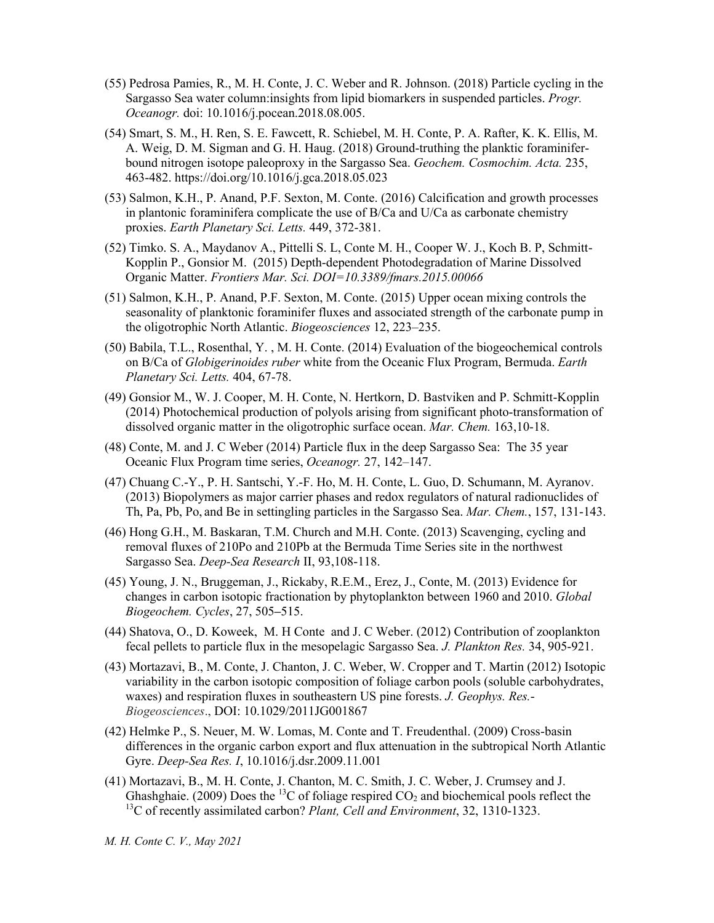- (55) Pedrosa Pamies, R., M. H. Conte, J. C. Weber and R. Johnson. (2018) Particle cycling in the Sargasso Sea water column:insights from lipid biomarkers in suspended particles. *Progr. Oceanogr.* doi: 10.1016/j.pocean.2018.08.005.
- (54) Smart, S. M., H. Ren, S. E. Fawcett, R. Schiebel, M. H. Conte, P. A. Rafter, K. K. Ellis, M. A. Weig, D. M. Sigman and G. H. Haug. (2018) Ground-truthing the planktic foraminiferbound nitrogen isotope paleoproxy in the Sargasso Sea. *Geochem. Cosmochim. Acta.* 235, 463-482. https://doi.org/10.1016/j.gca.2018.05.023
- (53) Salmon, K.H., P. Anand, P.F. Sexton, M. Conte. (2016) Calcification and growth processes in plantonic foraminifera complicate the use of B/Ca and U/Ca as carbonate chemistry proxies. *Earth Planetary Sci. Letts.* 449, 372-381.
- (52) Timko. S. A., Maydanov A., Pittelli S. L, Conte M. H., Cooper W. J., Koch B. P, Schmitt-Kopplin P., Gonsior M. (2015) Depth-dependent Photodegradation of Marine Dissolved Organic Matter. *Frontiers Mar. Sci. DOI=10.3389/fmars.2015.00066*
- (51) Salmon, K.H., P. Anand, P.F. Sexton, M. Conte. (2015) Upper ocean mixing controls the seasonality of planktonic foraminifer fluxes and associated strength of the carbonate pump in the oligotrophic North Atlantic. *Biogeosciences* 12, 223–235.
- (50) Babila, T.L., Rosenthal, Y. , M. H. Conte. (2014) Evaluation of the biogeochemical controls on B/Ca of *Globigerinoides ruber* white from the Oceanic Flux Program, Bermuda. *Earth Planetary Sci. Letts.* 404, 67-78.
- (49) Gonsior M., W. J. Cooper, M. H. Conte, N. Hertkorn, D. Bastviken and P. Schmitt-Kopplin (2014) Photochemical production of polyols arising from significant photo-transformation of dissolved organic matter in the oligotrophic surface ocean. *Mar. Chem.* 163,10-18.
- (48) Conte, M. and J. C Weber (2014) Particle flux in the deep Sargasso Sea: The 35 year Oceanic Flux Program time series, *Oceanogr.* 27, 142–147.
- (47) Chuang C.-Y., P. H. Santschi, Y.-F. Ho, M. H. Conte, L. Guo, D. Schumann, M. Ayranov. (2013) Biopolymers as major carrier phases and redox regulators of natural radionuclides of Th, Pa, Pb, Po, and Be in settingling particles in the Sargasso Sea. *Mar. Chem.*, 157, 131-143.
- (46) Hong G.H., M. Baskaran, T.M. Church and M.H. Conte. (2013) Scavenging, cycling and removal fluxes of 210Po and 210Pb at the Bermuda Time Series site in the northwest Sargasso Sea. *Deep-Sea Research* II, 93,108-118.
- (45) Young, J. N., Bruggeman, J., Rickaby, R.E.M., Erez, J., Conte, M. (2013) Evidence for changes in carbon isotopic fractionation by phytoplankton between 1960 and 2010. *Global Biogeochem. Cycles*, 27, 505**–**515.
- (44) Shatova, O., D. Koweek, M. H Conte and J. C Weber. (2012) Contribution of zooplankton fecal pellets to particle flux in the mesopelagic Sargasso Sea. *J. Plankton Res.* 34, 905-921.
- (43) Mortazavi, B., M. Conte, J. Chanton, J. C. Weber, W. Cropper and T. Martin (2012) Isotopic variability in the carbon isotopic composition of foliage carbon pools (soluble carbohydrates, waxes) and respiration fluxes in southeastern US pine forests. *J. Geophys. Res.*- *Biogeosciences*., DOI: 10.1029/2011JG001867
- (42) Helmke P., S. Neuer, M. W. Lomas, M. Conte and T. Freudenthal. (2009) Cross-basin differences in the organic carbon export and flux attenuation in the subtropical North Atlantic Gyre. *Deep-Sea Res. I*, 10.1016/j.dsr.2009.11.001
- (41) Mortazavi, B., M. H. Conte, J. Chanton, M. C. Smith, J. C. Weber, J. Crumsey and J. Ghashghaie. (2009) Does the <sup>13</sup>C of foliage respired CO<sub>2</sub> and biochemical pools reflect the 13C of recently assimilated carbon? *Plant, Cell and Environment*, 32, 1310-1323.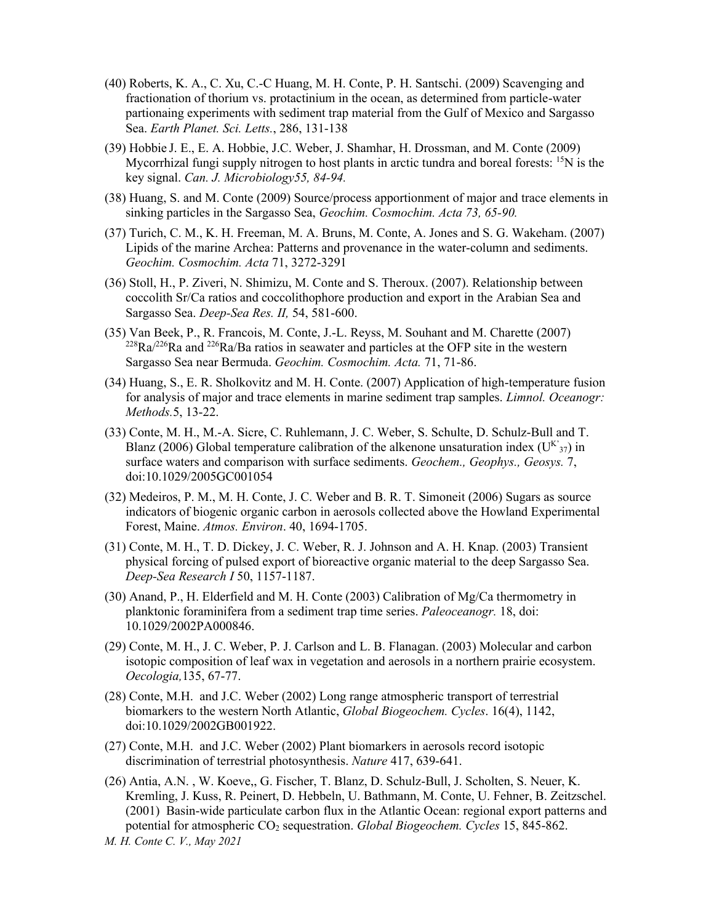- (40) Roberts, K. A., C. Xu, C.-C Huang, M. H. Conte, P. H. Santschi. (2009) Scavenging and fractionation of thorium vs. protactinium in the ocean, as determined from particle-water partionaing experiments with sediment trap material from the Gulf of Mexico and Sargasso Sea. *Earth Planet. Sci. Letts.*, 286, 131-138
- (39) Hobbie J. E., E. A. Hobbie, J.C. Weber, J. Shamhar, H. Drossman, and M. Conte (2009) Mycorrhizal fungi supply nitrogen to host plants in arctic tundra and boreal forests:  ${}^{15}N$  is the key signal. *Can. J. Microbiology55, 84-94.*
- (38) Huang, S. and M. Conte (2009) Source/process apportionment of major and trace elements in sinking particles in the Sargasso Sea, *Geochim. Cosmochim. Acta 73, 65-90.*
- (37) Turich, C. M., K. H. Freeman, M. A. Bruns, M. Conte, A. Jones and S. G. Wakeham. (2007) Lipids of the marine Archea: Patterns and provenance in the water-column and sediments. *Geochim. Cosmochim. Acta* 71, 3272-3291
- (36) Stoll, H., P. Ziveri, N. Shimizu, M. Conte and S. Theroux. (2007). Relationship between coccolith Sr/Ca ratios and coccolithophore production and export in the Arabian Sea and Sargasso Sea. *Deep-Sea Res. II,* 54, 581-600.
- (35) Van Beek, P., R. Francois, M. Conte, J.-L. Reyss, M. Souhant and M. Charette (2007)  $^{228}Ra^{226}Ra$  and  $^{226}Ra/Ba$  ratios in seawater and particles at the OFP site in the western Sargasso Sea near Bermuda. *Geochim. Cosmochim. Acta.* 71, 71-86.
- (34) Huang, S., E. R. Sholkovitz and M. H. Conte. (2007) Application of high-temperature fusion for analysis of major and trace elements in marine sediment trap samples. *Limnol. Oceanogr: Methods.*5, 13-22.
- (33) Conte, M. H., M.-A. Sicre, C. Ruhlemann, J. C. Weber, S. Schulte, D. Schulz-Bull and T. Blanz (2006) Global temperature calibration of the alkenone unsaturation index ( $U^{K}$ <sub>37</sub>) in surface waters and comparison with surface sediments. *Geochem., Geophys., Geosys.* 7, doi:10.1029/2005GC001054
- (32) Medeiros, P. M., M. H. Conte, J. C. Weber and B. R. T. Simoneit (2006) Sugars as source indicators of biogenic organic carbon in aerosols collected above the Howland Experimental Forest, Maine. *Atmos. Environ*. 40, 1694-1705.
- (31) Conte, M. H., T. D. Dickey, J. C. Weber, R. J. Johnson and A. H. Knap. (2003) Transient physical forcing of pulsed export of bioreactive organic material to the deep Sargasso Sea. *Deep-Sea Research I* 50, 1157-1187.
- (30) Anand, P., H. Elderfield and M. H. Conte (2003) Calibration of Mg/Ca thermometry in planktonic foraminifera from a sediment trap time series. *Paleoceanogr.* 18, doi: 10.1029/2002PA000846.
- (29) Conte, M. H., J. C. Weber, P. J. Carlson and L. B. Flanagan. (2003) Molecular and carbon isotopic composition of leaf wax in vegetation and aerosols in a northern prairie ecosystem. *Oecologia,*135, 67-77.
- (28) Conte, M.H. and J.C. Weber (2002) Long range atmospheric transport of terrestrial biomarkers to the western North Atlantic, *Global Biogeochem. Cycles*. 16(4), 1142, doi:10.1029/2002GB001922.
- (27) Conte, M.H. and J.C. Weber (2002) Plant biomarkers in aerosols record isotopic discrimination of terrestrial photosynthesis. *Nature* 417, 639-641.
- (26) Antia, A.N. , W. Koeve,, G. Fischer, T. Blanz, D. Schulz-Bull, J. Scholten, S. Neuer, K. Kremling, J. Kuss, R. Peinert, D. Hebbeln, U. Bathmann, M. Conte, U. Fehner, B. Zeitzschel. (2001) Basin-wide particulate carbon flux in the Atlantic Ocean: regional export patterns and potential for atmospheric CO2 sequestration. *Global Biogeochem. Cycles* 15, 845-862.

*M. H. Conte C. V., May 2021*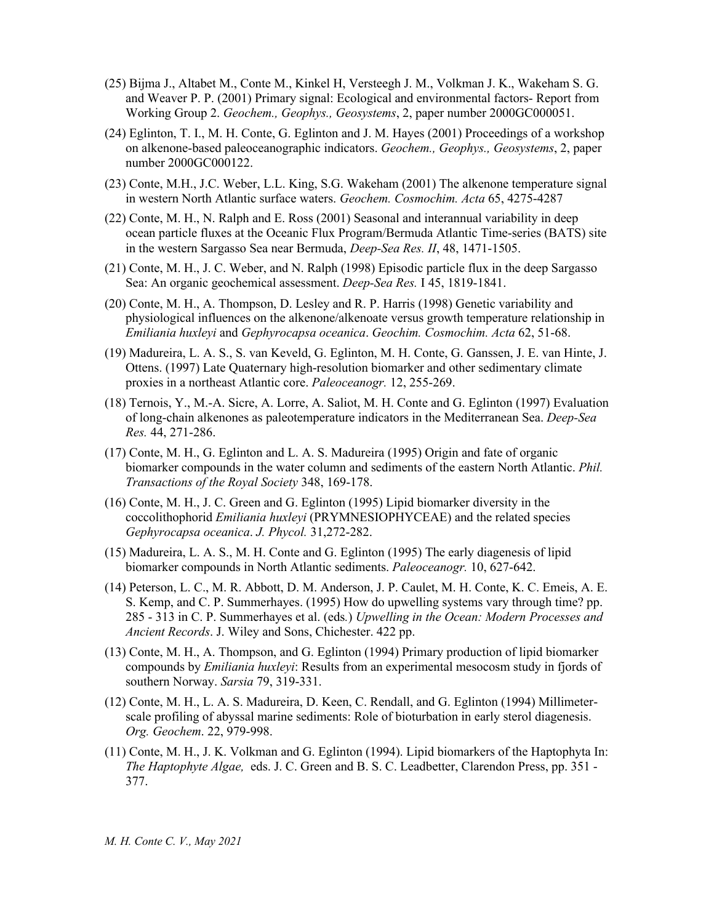- (25) Bijma J., Altabet M., Conte M., Kinkel H, Versteegh J. M., Volkman J. K., Wakeham S. G. and Weaver P. P. (2001) Primary signal: Ecological and environmental factors- Report from Working Group 2. *Geochem., Geophys., Geosystems*, 2, paper number 2000GC000051.
- (24) Eglinton, T. I., M. H. Conte, G. Eglinton and J. M. Hayes (2001) Proceedings of a workshop on alkenone-based paleoceanographic indicators. *Geochem., Geophys., Geosystems*, 2, paper number 2000GC000122.
- (23) Conte, M.H., J.C. Weber, L.L. King, S.G. Wakeham (2001) The alkenone temperature signal in western North Atlantic surface waters. *Geochem. Cosmochim. Acta* 65, 4275-4287
- (22) Conte, M. H., N. Ralph and E. Ross (2001) Seasonal and interannual variability in deep ocean particle fluxes at the Oceanic Flux Program/Bermuda Atlantic Time-series (BATS) site in the western Sargasso Sea near Bermuda, *Deep-Sea Res. II*, 48, 1471-1505.
- (21) Conte, M. H., J. C. Weber, and N. Ralph (1998) Episodic particle flux in the deep Sargasso Sea: An organic geochemical assessment. *Deep-Sea Res.* I 45, 1819-1841.
- (20) Conte, M. H., A. Thompson, D. Lesley and R. P. Harris (1998) Genetic variability and physiological influences on the alkenone/alkenoate versus growth temperature relationship in *Emiliania huxleyi* and *Gephyrocapsa oceanica*. *Geochim. Cosmochim. Acta* 62, 51-68.
- (19) Madureira, L. A. S., S. van Keveld, G. Eglinton, M. H. Conte, G. Ganssen, J. E. van Hinte, J. Ottens. (1997) Late Quaternary high-resolution biomarker and other sedimentary climate proxies in a northeast Atlantic core. *Paleoceanogr.* 12, 255-269.
- (18) Ternois, Y., M.-A. Sicre, A. Lorre, A. Saliot, M. H. Conte and G. Eglinton (1997) Evaluation of long-chain alkenones as paleotemperature indicators in the Mediterranean Sea. *Deep-Sea Res.* 44, 271-286.
- (17) Conte, M. H., G. Eglinton and L. A. S. Madureira (1995) Origin and fate of organic biomarker compounds in the water column and sediments of the eastern North Atlantic. *Phil. Transactions of the Royal Society* 348, 169-178.
- (16) Conte, M. H., J. C. Green and G. Eglinton (1995) Lipid biomarker diversity in the coccolithophorid *Emiliania huxleyi* (PRYMNESIOPHYCEAE) and the related species *Gephyrocapsa oceanica*. *J. Phycol.* 31,272-282.
- (15) Madureira, L. A. S., M. H. Conte and G. Eglinton (1995) The early diagenesis of lipid biomarker compounds in North Atlantic sediments. *Paleoceanogr.* 10, 627-642.
- (14) Peterson, L. C., M. R. Abbott, D. M. Anderson, J. P. Caulet, M. H. Conte, K. C. Emeis, A. E. S. Kemp, and C. P. Summerhayes. (1995) How do upwelling systems vary through time? pp. 285 - 313 in C. P. Summerhayes et al. (eds*.*) *Upwelling in the Ocean: Modern Processes and Ancient Records*. J. Wiley and Sons, Chichester. 422 pp.
- (13) Conte, M. H., A. Thompson, and G. Eglinton (1994) Primary production of lipid biomarker compounds by *Emiliania huxleyi*: Results from an experimental mesocosm study in fjords of southern Norway. *Sarsia* 79, 319-331.
- (12) Conte, M. H., L. A. S. Madureira, D. Keen, C. Rendall, and G. Eglinton (1994) Millimeterscale profiling of abyssal marine sediments: Role of bioturbation in early sterol diagenesis. *Org. Geochem*. 22, 979-998.
- (11) Conte, M. H., J. K. Volkman and G. Eglinton (1994). Lipid biomarkers of the Haptophyta In: *The Haptophyte Algae,* eds. J. C. Green and B. S. C. Leadbetter, Clarendon Press, pp. 351 - 377.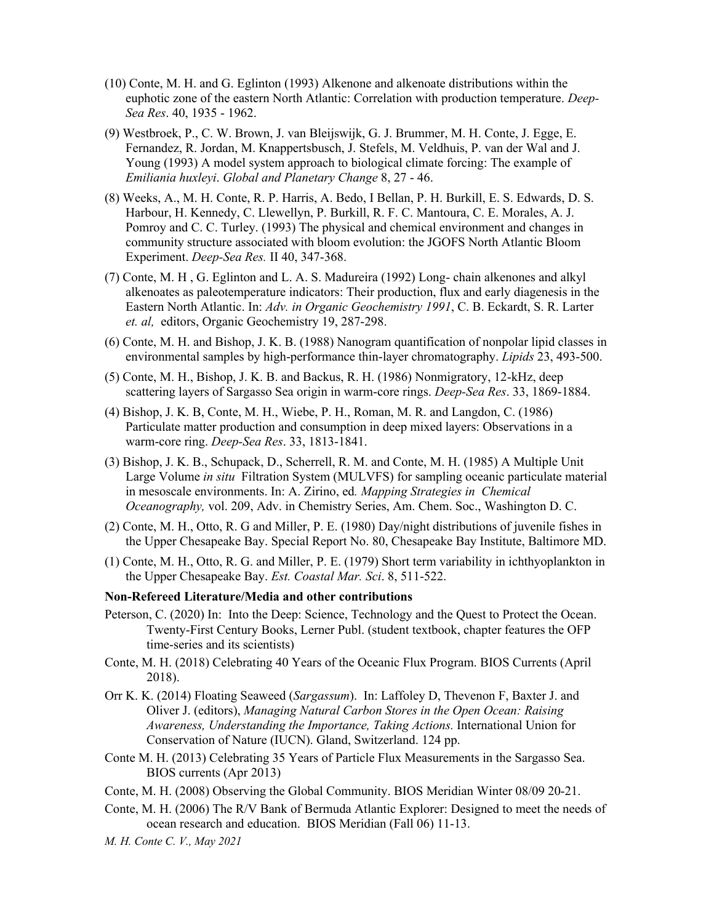- (10) Conte, M. H. and G. Eglinton (1993) Alkenone and alkenoate distributions within the euphotic zone of the eastern North Atlantic: Correlation with production temperature. *Deep-Sea Res*. 40, 1935 - 1962.
- (9) Westbroek, P., C. W. Brown, J. van Bleijswijk, G. J. Brummer, M. H. Conte, J. Egge, E. Fernandez, R. Jordan, M. Knappertsbusch, J. Stefels, M. Veldhuis, P. van der Wal and J. Young (1993) A model system approach to biological climate forcing: The example of *Emiliania huxleyi*. *Global and Planetary Change* 8, 27 - 46.
- (8) Weeks, A., M. H. Conte, R. P. Harris, A. Bedo, I Bellan, P. H. Burkill, E. S. Edwards, D. S. Harbour, H. Kennedy, C. Llewellyn, P. Burkill, R. F. C. Mantoura, C. E. Morales, A. J. Pomroy and C. C. Turley. (1993) The physical and chemical environment and changes in community structure associated with bloom evolution: the JGOFS North Atlantic Bloom Experiment. *Deep-Sea Res.* II 40, 347-368.
- (7) Conte, M. H , G. Eglinton and L. A. S. Madureira (1992) Long- chain alkenones and alkyl alkenoates as paleotemperature indicators: Their production, flux and early diagenesis in the Eastern North Atlantic. In: *Adv. in Organic Geochemistry 1991*, C. B. Eckardt, S. R. Larter *et. al,* editors, Organic Geochemistry 19, 287-298.
- (6) Conte, M. H. and Bishop, J. K. B. (1988) Nanogram quantification of nonpolar lipid classes in environmental samples by high-performance thin-layer chromatography. *Lipids* 23, 493-500.
- (5) Conte, M. H., Bishop, J. K. B. and Backus, R. H. (1986) Nonmigratory, 12-kHz, deep scattering layers of Sargasso Sea origin in warm-core rings. *Deep-Sea Res*. 33, 1869-1884.
- (4) Bishop, J. K. B, Conte, M. H., Wiebe, P. H., Roman, M. R. and Langdon, C. (1986) Particulate matter production and consumption in deep mixed layers: Observations in a warm-core ring. *Deep-Sea Res*. 33, 1813-1841.
- (3) Bishop, J. K. B., Schupack, D., Scherrell, R. M. and Conte, M. H. (1985) A Multiple Unit Large Volume *in situ* Filtration System (MULVFS) for sampling oceanic particulate material in mesoscale environments. In: A. Zirino, ed*. Mapping Strategies in Chemical Oceanography,* vol. 209, Adv. in Chemistry Series, Am. Chem. Soc., Washington D. C.
- (2) Conte, M. H., Otto, R. G and Miller, P. E. (1980) Day/night distributions of juvenile fishes in the Upper Chesapeake Bay. Special Report No. 80, Chesapeake Bay Institute, Baltimore MD.
- (1) Conte, M. H., Otto, R. G. and Miller, P. E. (1979) Short term variability in ichthyoplankton in the Upper Chesapeake Bay. *Est. Coastal Mar. Sci*. 8, 511-522.

#### **Non-Refereed Literature/Media and other contributions**

- Peterson, C. (2020) In: Into the Deep: Science, Technology and the Quest to Protect the Ocean. Twenty-First Century Books, Lerner Publ. (student textbook, chapter features the OFP time-series and its scientists)
- Conte, M. H. (2018) Celebrating 40 Years of the Oceanic Flux Program. BIOS Currents (April 2018).
- Orr K. K. (2014) Floating Seaweed (*Sargassum*). In: Laffoley D, Thevenon F, Baxter J. and Oliver J. (editors), *Managing Natural Carbon Stores in the Open Ocean: Raising Awareness, Understanding the Importance, Taking Actions.* International Union for Conservation of Nature (IUCN). Gland, Switzerland. 124 pp.
- Conte M. H. (2013) Celebrating 35 Years of Particle Flux Measurements in the Sargasso Sea. BIOS currents (Apr 2013)
- Conte, M. H. (2008) Observing the Global Community. BIOS Meridian Winter 08/09 20-21.
- Conte, M. H. (2006) The R/V Bank of Bermuda Atlantic Explorer: Designed to meet the needs of ocean research and education. BIOS Meridian (Fall 06) 11-13.
- *M. H. Conte C. V., May 2021*